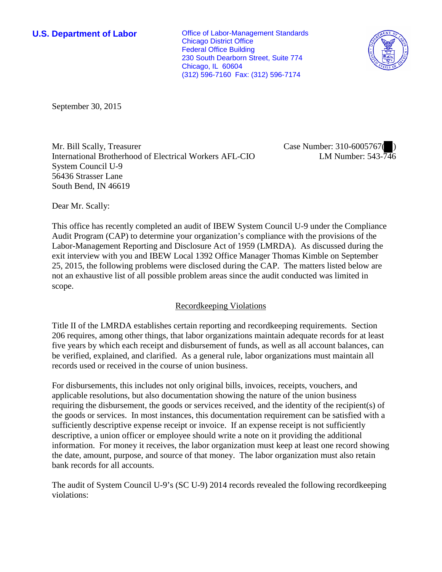**U.S. Department of Labor Conservative Conservative Conservative Conservative Conservative Conservative Conservative Conservative Conservative Conservative Conservative Conservative Conservative Conservative Conservative** Chicago District Office Federal Office Building 230 South Dearborn Street, Suite 774 Chicago, IL 60604 (312) 596-7160 Fax: (312) 596-7174



September 30, 2015

Mr. Bill Scally, Treasurer International Brotherhood of Electrical Workers AFL-CIO System Council U-9 56436 Strasser Lane South Bend, IN 46619

Case Number: 310-6005767( ) LM Number: 543-746

Dear Mr. Scally:

This office has recently completed an audit of IBEW System Council U-9 under the Compliance Audit Program (CAP) to determine your organization's compliance with the provisions of the Labor-Management Reporting and Disclosure Act of 1959 (LMRDA). As discussed during the exit interview with you and IBEW Local 1392 Office Manager Thomas Kimble on September 25, 2015, the following problems were disclosed during the CAP. The matters listed below are not an exhaustive list of all possible problem areas since the audit conducted was limited in scope.

# Recordkeeping Violations

Title II of the LMRDA establishes certain reporting and recordkeeping requirements. Section 206 requires, among other things, that labor organizations maintain adequate records for at least five years by which each receipt and disbursement of funds, as well as all account balances, can be verified, explained, and clarified. As a general rule, labor organizations must maintain all records used or received in the course of union business.

For disbursements, this includes not only original bills, invoices, receipts, vouchers, and applicable resolutions, but also documentation showing the nature of the union business requiring the disbursement, the goods or services received, and the identity of the recipient(s) of the goods or services. In most instances, this documentation requirement can be satisfied with a sufficiently descriptive expense receipt or invoice. If an expense receipt is not sufficiently descriptive, a union officer or employee should write a note on it providing the additional information. For money it receives, the labor organization must keep at least one record showing the date, amount, purpose, and source of that money. The labor organization must also retain bank records for all accounts.

The audit of System Council U-9's (SC U-9) 2014 records revealed the following recordkeeping violations: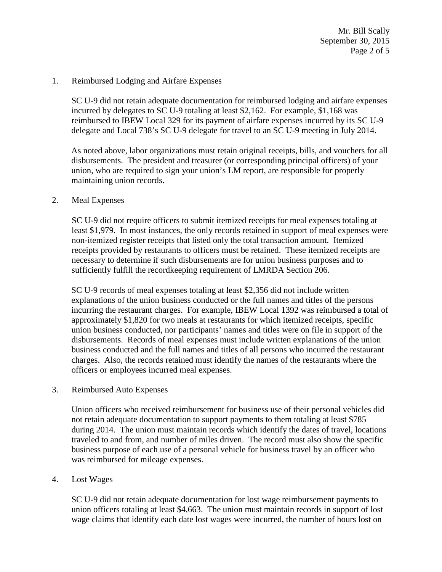Mr. Bill Scally September 30, 2015 Page 2 of 5

#### 1. Reimbursed Lodging and Airfare Expenses

SC U-9 did not retain adequate documentation for reimbursed lodging and airfare expenses incurred by delegates to SC U-9 totaling at least \$2,162. For example, \$1,168 was reimbursed to IBEW Local 329 for its payment of airfare expenses incurred by its SC U-9 delegate and Local 738's SC U-9 delegate for travel to an SC U-9 meeting in July 2014.

As noted above, labor organizations must retain original receipts, bills, and vouchers for all disbursements. The president and treasurer (or corresponding principal officers) of your union, who are required to sign your union's LM report, are responsible for properly maintaining union records.

#### 2. Meal Expenses

SC U-9 did not require officers to submit itemized receipts for meal expenses totaling at least \$1,979. In most instances, the only records retained in support of meal expenses were non-itemized register receipts that listed only the total transaction amount. Itemized receipts provided by restaurants to officers must be retained. These itemized receipts are necessary to determine if such disbursements are for union business purposes and to sufficiently fulfill the recordkeeping requirement of LMRDA Section 206.

SC U-9 records of meal expenses totaling at least \$2,356 did not include written explanations of the union business conducted or the full names and titles of the persons incurring the restaurant charges. For example, IBEW Local 1392 was reimbursed a total of approximately \$1,820 for two meals at restaurants for which itemized receipts, specific union business conducted, nor participants' names and titles were on file in support of the disbursements. Records of meal expenses must include written explanations of the union business conducted and the full names and titles of all persons who incurred the restaurant charges. Also, the records retained must identify the names of the restaurants where the officers or employees incurred meal expenses.

#### 3. Reimbursed Auto Expenses

Union officers who received reimbursement for business use of their personal vehicles did not retain adequate documentation to support payments to them totaling at least \$785 during 2014. The union must maintain records which identify the dates of travel, locations traveled to and from, and number of miles driven. The record must also show the specific business purpose of each use of a personal vehicle for business travel by an officer who was reimbursed for mileage expenses.

### 4. Lost Wages

SC U-9 did not retain adequate documentation for lost wage reimbursement payments to union officers totaling at least \$4,663. The union must maintain records in support of lost wage claims that identify each date lost wages were incurred, the number of hours lost on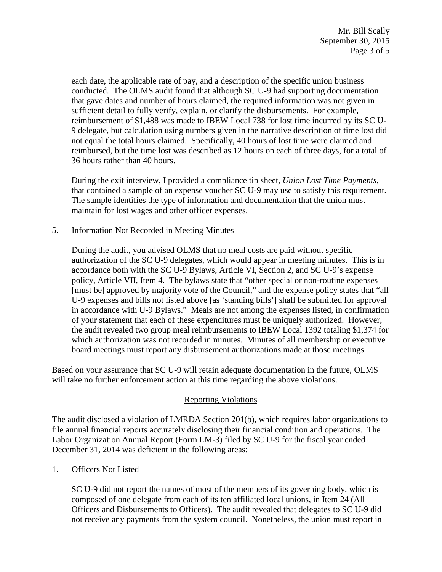each date, the applicable rate of pay, and a description of the specific union business conducted. The OLMS audit found that although SC U-9 had supporting documentation that gave dates and number of hours claimed, the required information was not given in sufficient detail to fully verify, explain, or clarify the disbursements. For example, reimbursement of \$1,488 was made to IBEW Local 738 for lost time incurred by its SC U-9 delegate, but calculation using numbers given in the narrative description of time lost did not equal the total hours claimed. Specifically, 40 hours of lost time were claimed and reimbursed, but the time lost was described as 12 hours on each of three days, for a total of 36 hours rather than 40 hours.

During the exit interview, I provided a compliance tip sheet, *Union Lost Time Payments*, that contained a sample of an expense voucher SC U-9 may use to satisfy this requirement. The sample identifies the type of information and documentation that the union must maintain for lost wages and other officer expenses.

5. Information Not Recorded in Meeting Minutes

During the audit, you advised OLMS that no meal costs are paid without specific authorization of the SC U-9 delegates, which would appear in meeting minutes. This is in accordance both with the SC U-9 Bylaws, Article VI, Section 2, and SC U-9's expense policy, Article VII, Item 4. The bylaws state that "other special or non-routine expenses [must be] approved by majority vote of the Council," and the expense policy states that "all U-9 expenses and bills not listed above [as 'standing bills'] shall be submitted for approval in accordance with U-9 Bylaws." Meals are not among the expenses listed, in confirmation of your statement that each of these expenditures must be uniquely authorized. However, the audit revealed two group meal reimbursements to IBEW Local 1392 totaling \$1,374 for which authorization was not recorded in minutes. Minutes of all membership or executive board meetings must report any disbursement authorizations made at those meetings.

Based on your assurance that SC U-9 will retain adequate documentation in the future, OLMS will take no further enforcement action at this time regarding the above violations.

# Reporting Violations

The audit disclosed a violation of LMRDA Section 201(b), which requires labor organizations to file annual financial reports accurately disclosing their financial condition and operations. The Labor Organization Annual Report (Form LM-3) filed by SC U-9 for the fiscal year ended December 31, 2014 was deficient in the following areas:

1. Officers Not Listed

SC U-9 did not report the names of most of the members of its governing body, which is composed of one delegate from each of its ten affiliated local unions, in Item 24 (All Officers and Disbursements to Officers). The audit revealed that delegates to SC U-9 did not receive any payments from the system council. Nonetheless, the union must report in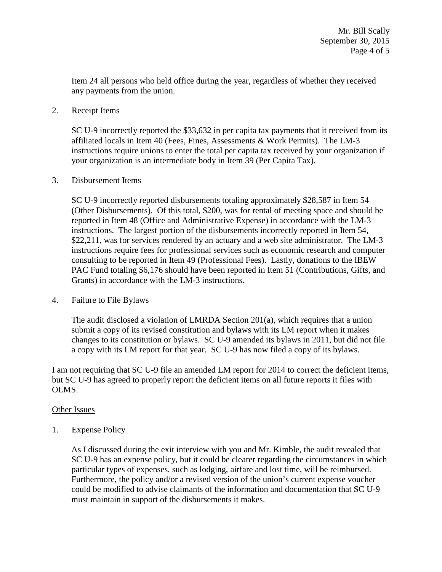Item 24 all persons who held office during the year, regardless of whether they received any payments from the union.

## 2. Receipt Items

SC U-9 incorrectly reported the \$33,632 in per capita tax payments that it received from its affiliated locals in Item 40 (Fees, Fines, Assessments & Work Permits). The LM-3 instructions require unions to enter the total per capita tax received by your organization if your organization is an intermediate body in Item 39 (Per Capita Tax).

## 3. Disbursement Items

SC U-9 incorrectly reported disbursements totaling approximately \$28,587 in Item 54 (Other Disbursements). Of this total, \$200, was for rental of meeting space and should be reported in Item 48 (Office and Administrative Expense) in accordance with the LM-3 instructions. The largest portion of the disbursements incorrectly reported in Item 54, \$22,211, was for services rendered by an actuary and a web site administrator. The LM-3 instructions require fees for professional services such as economic research and computer consulting to be reported in Item 49 (Professional Fees). Lastly, donations to the IBEW PAC Fund totaling \$6,176 should have been reported in Item 51 (Contributions, Gifts, and Grants) in accordance with the LM-3 instructions.

# 4. Failure to File Bylaws

The audit disclosed a violation of LMRDA Section  $201(a)$ , which requires that a union submit a copy of its revised constitution and bylaws with its LM report when it makes changes to its constitution or bylaws. SC U-9 amended its bylaws in 2011, but did not file a copy with its LM report for that year. SC U-9 has now filed a copy of its bylaws.

I am not requiring that SC U-9 file an amended LM report for 2014 to correct the deficient items, but SC U-9 has agreed to properly report the deficient items on all future reports it files with OLMS.

# Other Issues

1. Expense Policy

As I discussed during the exit interview with you and Mr. Kimble, the audit revealed that SC U-9 has an expense policy, but it could be clearer regarding the circumstances in which particular types of expenses, such as lodging, airfare and lost time, will be reimbursed. Furthermore, the policy and/or a revised version of the union's current expense voucher could be modified to advise claimants of the information and documentation that SC U-9 must maintain in support of the disbursements it makes.